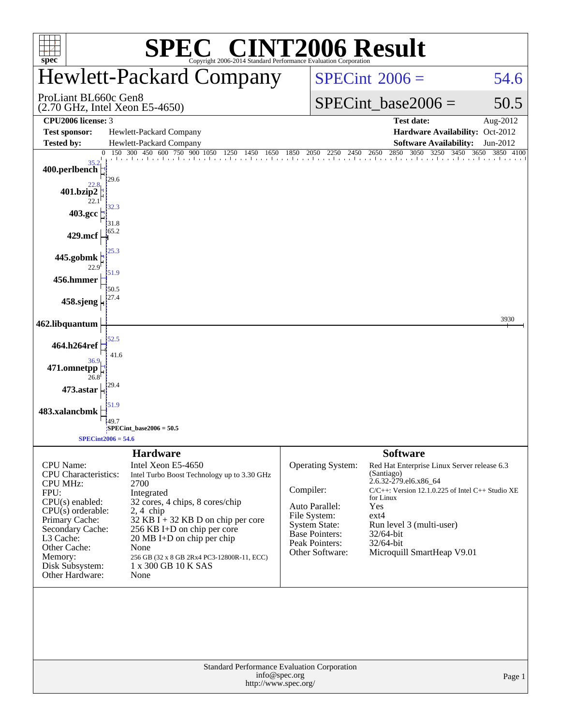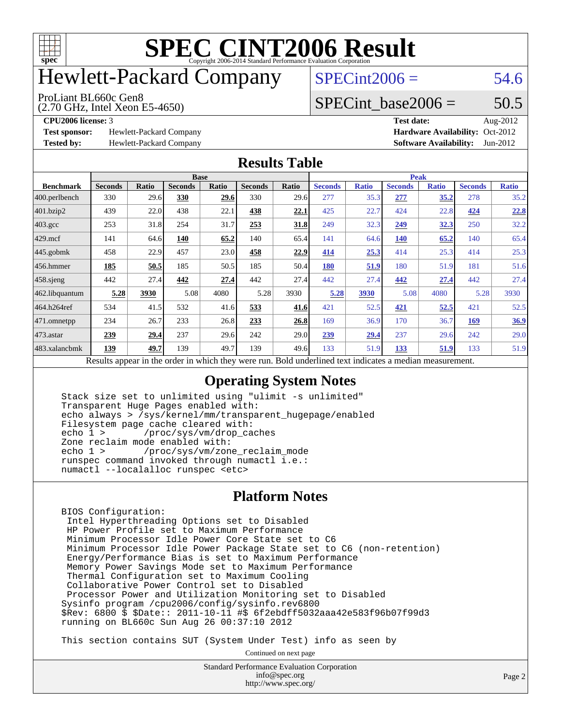

# Hewlett-Packard Company

#### ProLiant BL660c Gen8

(2.70 GHz, Intel Xeon E5-4650)

 $SPECint2006 = 54.6$  $SPECint2006 = 54.6$ 

#### SPECint base2006 =  $50.5$

**[Test sponsor:](http://www.spec.org/auto/cpu2006/Docs/result-fields.html#Testsponsor)** Hewlett-Packard Company **[Hardware Availability:](http://www.spec.org/auto/cpu2006/Docs/result-fields.html#HardwareAvailability)** Oct-2012

**[CPU2006 license:](http://www.spec.org/auto/cpu2006/Docs/result-fields.html#CPU2006license)** 3 **[Test date:](http://www.spec.org/auto/cpu2006/Docs/result-fields.html#Testdate)** Aug-2012 **[Tested by:](http://www.spec.org/auto/cpu2006/Docs/result-fields.html#Testedby)** Hewlett-Packard Company **[Software Availability:](http://www.spec.org/auto/cpu2006/Docs/result-fields.html#SoftwareAvailability)** Jun-2012

#### **[Results Table](http://www.spec.org/auto/cpu2006/Docs/result-fields.html#ResultsTable)**

|                    | <b>Base</b>                                                                                              |              |                |       |                |       | <b>Peak</b>    |              |                |              |                |              |  |
|--------------------|----------------------------------------------------------------------------------------------------------|--------------|----------------|-------|----------------|-------|----------------|--------------|----------------|--------------|----------------|--------------|--|
| <b>Benchmark</b>   | <b>Seconds</b>                                                                                           | <b>Ratio</b> | <b>Seconds</b> | Ratio | <b>Seconds</b> | Ratio | <b>Seconds</b> | <b>Ratio</b> | <b>Seconds</b> | <b>Ratio</b> | <b>Seconds</b> | <b>Ratio</b> |  |
| 400.perlbench      | 330                                                                                                      | 29.6         | 330            | 29.6  | 330            | 29.6  | 277            | 35.3         | 277            | 35.2         | 278            | 35.2         |  |
| 401.bzip2          | 439                                                                                                      | 22.0         | 438            | 22.1  | 438            | 22.1  | 425            | 22.7         | 424            | 22.8         | 424            | 22.8         |  |
| $403.\mathrm{gcc}$ | 253                                                                                                      | 31.8         | 254            | 31.7  | 253            | 31.8  | 249            | 32.3         | 249            | <u>32.3</u>  | 250            | 32.2         |  |
| $429$ .mcf         | 141                                                                                                      | 64.6         | 140            | 65.2  | 140            | 65.4  | 141            | 64.6         | 140            | 65.2         | 140            | 65.4         |  |
| $445$ .gobmk       | 458                                                                                                      | 22.9         | 457            | 23.0  | 458            | 22.9  | 414            | 25.3         | 414            | 25.3         | 414            | 25.3         |  |
| $456.$ hmmer       | 185                                                                                                      | 50.5         | 185            | 50.5  | 185            | 50.4  | <b>180</b>     | 51.9         | 180            | 51.9         | 181            | 51.6         |  |
| $458$ .sjeng       | 442                                                                                                      | 27.4         | 442            | 27.4  | 442            | 27.4  | 442            | 27.4         | 442            | 27.4         | 442            | 27.4         |  |
| 462.libquantum     | 5.28                                                                                                     | 3930         | 5.08           | 4080  | 5.28           | 3930  | 5.28           | 3930         | 5.08           | 4080         | 5.28           | 3930         |  |
| 464.h264ref        | 534                                                                                                      | 41.5         | 532            | 41.6  | 533            | 41.6  | 421            | 52.5         | 421            | 52.5         | 421            | 52.5         |  |
| 471.omnetpp        | 234                                                                                                      | 26.7         | 233            | 26.8  | 233            | 26.8  | 169            | 36.9         | 170            | 36.7         | <b>169</b>     | 36.9         |  |
| $473.$ astar       | 239                                                                                                      | 29.4         | 237            | 29.6  | 242            | 29.0  | 239            | 29.4         | 237            | 29.6         | 242            | 29.0         |  |
| 483.xalancbmk      | 139                                                                                                      | 49.7         | 139            | 49.7  | 139            | 49.6  | 133            | 51.9         | 133            | 51.9         | 133            | 51.9         |  |
|                    | Results appear in the order in which they were run. Bold underlined text indicates a median measurement. |              |                |       |                |       |                |              |                |              |                |              |  |

#### **[Operating System Notes](http://www.spec.org/auto/cpu2006/Docs/result-fields.html#OperatingSystemNotes)**

 Stack size set to unlimited using "ulimit -s unlimited" Transparent Huge Pages enabled with: echo always > /sys/kernel/mm/transparent\_hugepage/enabled Filesystem page cache cleared with:<br>echo 1 > /proc/sys/vm/drop ca /proc/sys/vm/drop\_caches Zone reclaim mode enabled with: echo 1 > /proc/sys/vm/zone\_reclaim\_mode runspec command invoked through numactl i.e.: numactl --localalloc runspec <etc>

#### **[Platform Notes](http://www.spec.org/auto/cpu2006/Docs/result-fields.html#PlatformNotes)**

 BIOS Configuration: Intel Hyperthreading Options set to Disabled HP Power Profile set to Maximum Performance Minimum Processor Idle Power Core State set to C6 Minimum Processor Idle Power Package State set to C6 (non-retention) Energy/Performance Bias is set to Maximum Performance Memory Power Savings Mode set to Maximum Performance Thermal Configuration set to Maximum Cooling Collaborative Power Control set to Disabled Processor Power and Utilization Monitoring set to Disabled Sysinfo program /cpu2006/config/sysinfo.rev6800 \$Rev: 6800 \$ \$Date:: 2011-10-11 #\$ 6f2ebdff5032aaa42e583f96b07f99d3 running on BL660c Sun Aug 26 00:37:10 2012

This section contains SUT (System Under Test) info as seen by

Continued on next page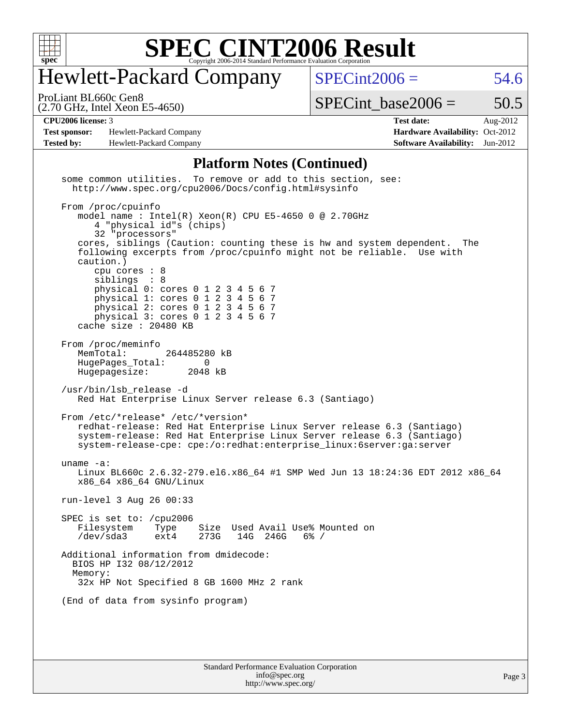

## Hewlett-Packard Company

 $SPECint2006 = 54.6$  $SPECint2006 = 54.6$ 

(2.70 GHz, Intel Xeon E5-4650) ProLiant BL660c Gen8

SPECint base2006 =  $50.5$ 

Page 3

**[Test sponsor:](http://www.spec.org/auto/cpu2006/Docs/result-fields.html#Testsponsor)** Hewlett-Packard Company **[Hardware Availability:](http://www.spec.org/auto/cpu2006/Docs/result-fields.html#HardwareAvailability)** Oct-2012 **[Tested by:](http://www.spec.org/auto/cpu2006/Docs/result-fields.html#Testedby)** Hewlett-Packard Company **[Software Availability:](http://www.spec.org/auto/cpu2006/Docs/result-fields.html#SoftwareAvailability)** Jun-2012

**[CPU2006 license:](http://www.spec.org/auto/cpu2006/Docs/result-fields.html#CPU2006license)** 3 **[Test date:](http://www.spec.org/auto/cpu2006/Docs/result-fields.html#Testdate)** Aug-2012

#### **[Platform Notes \(Continued\)](http://www.spec.org/auto/cpu2006/Docs/result-fields.html#PlatformNotes)**

Standard Performance Evaluation Corporation [info@spec.org](mailto:info@spec.org) some common utilities. To remove or add to this section, see: <http://www.spec.org/cpu2006/Docs/config.html#sysinfo> From /proc/cpuinfo model name : Intel(R) Xeon(R) CPU E5-4650 0 @ 2.70GHz 4 "physical id"s (chips) 32 "processors" cores, siblings (Caution: counting these is hw and system dependent. The following excerpts from /proc/cpuinfo might not be reliable. Use with caution.) cpu cores : 8 siblings : 8 physical 0: cores 0 1 2 3 4 5 6 7 physical 1: cores 0 1 2 3 4 5 6 7 physical 2: cores 0 1 2 3 4 5 6 7 physical 3: cores 0 1 2 3 4 5 6 7 cache size : 20480 KB From /proc/meminfo<br>MemTotal: 264485280 kB HugePages\_Total: 0<br>Hugepagesize: 2048 kB Hugepagesize: /usr/bin/lsb\_release -d Red Hat Enterprise Linux Server release 6.3 (Santiago) From /etc/\*release\* /etc/\*version\* redhat-release: Red Hat Enterprise Linux Server release 6.3 (Santiago) system-release: Red Hat Enterprise Linux Server release 6.3 (Santiago) system-release-cpe: cpe:/o:redhat:enterprise\_linux:6server:ga:server uname -a: Linux BL660c 2.6.32-279.el6.x86\_64 #1 SMP Wed Jun 13 18:24:36 EDT 2012 x86\_64 x86\_64 x86\_64 GNU/Linux run-level 3 Aug 26 00:33 SPEC is set to: /cpu2006<br>Filesystem Type Size Used Avail Use% Mounted on /dev/sda3 ext4 273G 14G 246G 6% / Additional information from dmidecode: BIOS HP I32 08/12/2012 Memory: 32x HP Not Specified 8 GB 1600 MHz 2 rank (End of data from sysinfo program)

<http://www.spec.org/>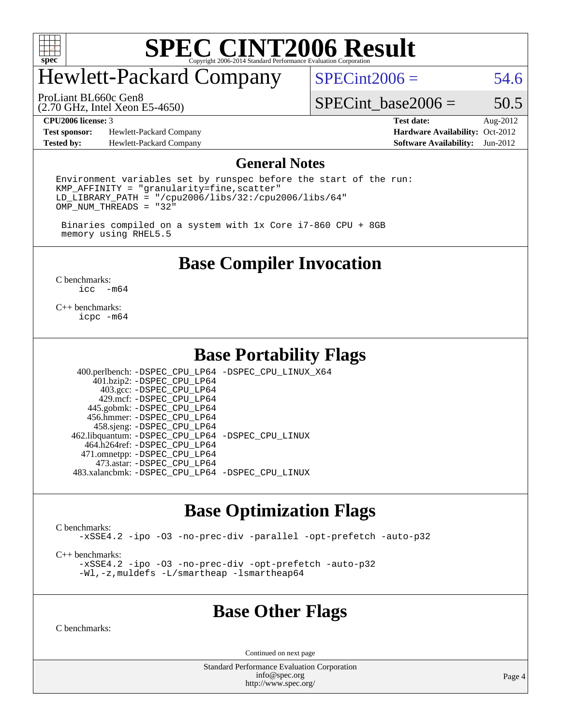

# Hewlett-Packard Company

 $SPECint2006 = 54.6$  $SPECint2006 = 54.6$ 

(2.70 GHz, Intel Xeon E5-4650) ProLiant BL660c Gen8

SPECint base2006 =  $50.5$ 

**[Test sponsor:](http://www.spec.org/auto/cpu2006/Docs/result-fields.html#Testsponsor)** Hewlett-Packard Company **[Hardware Availability:](http://www.spec.org/auto/cpu2006/Docs/result-fields.html#HardwareAvailability)** Oct-2012 **[Tested by:](http://www.spec.org/auto/cpu2006/Docs/result-fields.html#Testedby)** Hewlett-Packard Company **[Software Availability:](http://www.spec.org/auto/cpu2006/Docs/result-fields.html#SoftwareAvailability)** Jun-2012

**[CPU2006 license:](http://www.spec.org/auto/cpu2006/Docs/result-fields.html#CPU2006license)** 3 **[Test date:](http://www.spec.org/auto/cpu2006/Docs/result-fields.html#Testdate)** Aug-2012

#### **[General Notes](http://www.spec.org/auto/cpu2006/Docs/result-fields.html#GeneralNotes)**

Environment variables set by runspec before the start of the run: KMP\_AFFINITY = "granularity=fine,scatter"  $LD$ \_LIBRARY\_PATH = "/cpu2006/libs/32:/cpu2006/libs/64"  $OMP_NUM_THREADS = "32"$ 

 Binaries compiled on a system with 1x Core i7-860 CPU + 8GB memory using RHEL5.5

### **[Base Compiler Invocation](http://www.spec.org/auto/cpu2006/Docs/result-fields.html#BaseCompilerInvocation)**

[C benchmarks](http://www.spec.org/auto/cpu2006/Docs/result-fields.html#Cbenchmarks):  $\text{icc}$  -m64

[C++ benchmarks:](http://www.spec.org/auto/cpu2006/Docs/result-fields.html#CXXbenchmarks) [icpc -m64](http://www.spec.org/cpu2006/results/res2012q3/cpu2006-20120828-24362.flags.html#user_CXXbase_intel_icpc_64bit_fc66a5337ce925472a5c54ad6a0de310)

### **[Base Portability Flags](http://www.spec.org/auto/cpu2006/Docs/result-fields.html#BasePortabilityFlags)**

 400.perlbench: [-DSPEC\\_CPU\\_LP64](http://www.spec.org/cpu2006/results/res2012q3/cpu2006-20120828-24362.flags.html#b400.perlbench_basePORTABILITY_DSPEC_CPU_LP64) [-DSPEC\\_CPU\\_LINUX\\_X64](http://www.spec.org/cpu2006/results/res2012q3/cpu2006-20120828-24362.flags.html#b400.perlbench_baseCPORTABILITY_DSPEC_CPU_LINUX_X64) 401.bzip2: [-DSPEC\\_CPU\\_LP64](http://www.spec.org/cpu2006/results/res2012q3/cpu2006-20120828-24362.flags.html#suite_basePORTABILITY401_bzip2_DSPEC_CPU_LP64) 403.gcc: [-DSPEC\\_CPU\\_LP64](http://www.spec.org/cpu2006/results/res2012q3/cpu2006-20120828-24362.flags.html#suite_basePORTABILITY403_gcc_DSPEC_CPU_LP64) 429.mcf: [-DSPEC\\_CPU\\_LP64](http://www.spec.org/cpu2006/results/res2012q3/cpu2006-20120828-24362.flags.html#suite_basePORTABILITY429_mcf_DSPEC_CPU_LP64) 445.gobmk: [-DSPEC\\_CPU\\_LP64](http://www.spec.org/cpu2006/results/res2012q3/cpu2006-20120828-24362.flags.html#suite_basePORTABILITY445_gobmk_DSPEC_CPU_LP64) 456.hmmer: [-DSPEC\\_CPU\\_LP64](http://www.spec.org/cpu2006/results/res2012q3/cpu2006-20120828-24362.flags.html#suite_basePORTABILITY456_hmmer_DSPEC_CPU_LP64) 458.sjeng: [-DSPEC\\_CPU\\_LP64](http://www.spec.org/cpu2006/results/res2012q3/cpu2006-20120828-24362.flags.html#suite_basePORTABILITY458_sjeng_DSPEC_CPU_LP64) 462.libquantum: [-DSPEC\\_CPU\\_LP64](http://www.spec.org/cpu2006/results/res2012q3/cpu2006-20120828-24362.flags.html#suite_basePORTABILITY462_libquantum_DSPEC_CPU_LP64) [-DSPEC\\_CPU\\_LINUX](http://www.spec.org/cpu2006/results/res2012q3/cpu2006-20120828-24362.flags.html#b462.libquantum_baseCPORTABILITY_DSPEC_CPU_LINUX) 464.h264ref: [-DSPEC\\_CPU\\_LP64](http://www.spec.org/cpu2006/results/res2012q3/cpu2006-20120828-24362.flags.html#suite_basePORTABILITY464_h264ref_DSPEC_CPU_LP64) 471.omnetpp: [-DSPEC\\_CPU\\_LP64](http://www.spec.org/cpu2006/results/res2012q3/cpu2006-20120828-24362.flags.html#suite_basePORTABILITY471_omnetpp_DSPEC_CPU_LP64) 473.astar: [-DSPEC\\_CPU\\_LP64](http://www.spec.org/cpu2006/results/res2012q3/cpu2006-20120828-24362.flags.html#suite_basePORTABILITY473_astar_DSPEC_CPU_LP64) 483.xalancbmk: [-DSPEC\\_CPU\\_LP64](http://www.spec.org/cpu2006/results/res2012q3/cpu2006-20120828-24362.flags.html#suite_basePORTABILITY483_xalancbmk_DSPEC_CPU_LP64) [-DSPEC\\_CPU\\_LINUX](http://www.spec.org/cpu2006/results/res2012q3/cpu2006-20120828-24362.flags.html#b483.xalancbmk_baseCXXPORTABILITY_DSPEC_CPU_LINUX)

### **[Base Optimization Flags](http://www.spec.org/auto/cpu2006/Docs/result-fields.html#BaseOptimizationFlags)**

[C benchmarks](http://www.spec.org/auto/cpu2006/Docs/result-fields.html#Cbenchmarks):

[-xSSE4.2](http://www.spec.org/cpu2006/results/res2012q3/cpu2006-20120828-24362.flags.html#user_CCbase_f-xSSE42_f91528193cf0b216347adb8b939d4107) [-ipo](http://www.spec.org/cpu2006/results/res2012q3/cpu2006-20120828-24362.flags.html#user_CCbase_f-ipo) [-O3](http://www.spec.org/cpu2006/results/res2012q3/cpu2006-20120828-24362.flags.html#user_CCbase_f-O3) [-no-prec-div](http://www.spec.org/cpu2006/results/res2012q3/cpu2006-20120828-24362.flags.html#user_CCbase_f-no-prec-div) [-parallel](http://www.spec.org/cpu2006/results/res2012q3/cpu2006-20120828-24362.flags.html#user_CCbase_f-parallel) [-opt-prefetch](http://www.spec.org/cpu2006/results/res2012q3/cpu2006-20120828-24362.flags.html#user_CCbase_f-opt-prefetch) [-auto-p32](http://www.spec.org/cpu2006/results/res2012q3/cpu2006-20120828-24362.flags.html#user_CCbase_f-auto-p32)

[C++ benchmarks:](http://www.spec.org/auto/cpu2006/Docs/result-fields.html#CXXbenchmarks)

[-xSSE4.2](http://www.spec.org/cpu2006/results/res2012q3/cpu2006-20120828-24362.flags.html#user_CXXbase_f-xSSE42_f91528193cf0b216347adb8b939d4107) [-ipo](http://www.spec.org/cpu2006/results/res2012q3/cpu2006-20120828-24362.flags.html#user_CXXbase_f-ipo) [-O3](http://www.spec.org/cpu2006/results/res2012q3/cpu2006-20120828-24362.flags.html#user_CXXbase_f-O3) [-no-prec-div](http://www.spec.org/cpu2006/results/res2012q3/cpu2006-20120828-24362.flags.html#user_CXXbase_f-no-prec-div) [-opt-prefetch](http://www.spec.org/cpu2006/results/res2012q3/cpu2006-20120828-24362.flags.html#user_CXXbase_f-opt-prefetch) [-auto-p32](http://www.spec.org/cpu2006/results/res2012q3/cpu2006-20120828-24362.flags.html#user_CXXbase_f-auto-p32) [-Wl,-z,muldefs](http://www.spec.org/cpu2006/results/res2012q3/cpu2006-20120828-24362.flags.html#user_CXXbase_link_force_multiple1_74079c344b956b9658436fd1b6dd3a8a) [-L/smartheap -lsmartheap64](http://www.spec.org/cpu2006/results/res2012q3/cpu2006-20120828-24362.flags.html#user_CXXbase_SmartHeap64_5e654037dadeae1fe403ab4b4466e60b)

#### **[Base Other Flags](http://www.spec.org/auto/cpu2006/Docs/result-fields.html#BaseOtherFlags)**

[C benchmarks](http://www.spec.org/auto/cpu2006/Docs/result-fields.html#Cbenchmarks):

Continued on next page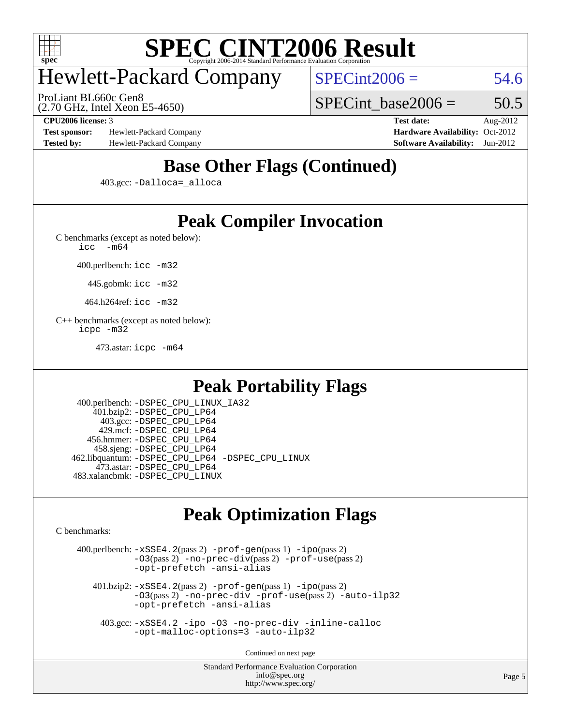

# Hewlett-Packard Company

ProLiant BL660c Gen8

 $SPECint2006 = 54.6$  $SPECint2006 = 54.6$ 

(2.70 GHz, Intel Xeon E5-4650)

SPECint base2006 =  $50.5$ 

**[Test sponsor:](http://www.spec.org/auto/cpu2006/Docs/result-fields.html#Testsponsor)** Hewlett-Packard Company **[Hardware Availability:](http://www.spec.org/auto/cpu2006/Docs/result-fields.html#HardwareAvailability)** Oct-2012 **[Tested by:](http://www.spec.org/auto/cpu2006/Docs/result-fields.html#Testedby)** Hewlett-Packard Company **[Software Availability:](http://www.spec.org/auto/cpu2006/Docs/result-fields.html#SoftwareAvailability)** Jun-2012

**[CPU2006 license:](http://www.spec.org/auto/cpu2006/Docs/result-fields.html#CPU2006license)** 3 **[Test date:](http://www.spec.org/auto/cpu2006/Docs/result-fields.html#Testdate)** Aug-2012

## **[Base Other Flags \(Continued\)](http://www.spec.org/auto/cpu2006/Docs/result-fields.html#BaseOtherFlags)**

403.gcc: [-Dalloca=\\_alloca](http://www.spec.org/cpu2006/results/res2012q3/cpu2006-20120828-24362.flags.html#b403.gcc_baseEXTRA_CFLAGS_Dalloca_be3056838c12de2578596ca5467af7f3)

## **[Peak Compiler Invocation](http://www.spec.org/auto/cpu2006/Docs/result-fields.html#PeakCompilerInvocation)**

[C benchmarks \(except as noted below\)](http://www.spec.org/auto/cpu2006/Docs/result-fields.html#Cbenchmarksexceptasnotedbelow):

[icc -m64](http://www.spec.org/cpu2006/results/res2012q3/cpu2006-20120828-24362.flags.html#user_CCpeak_intel_icc_64bit_f346026e86af2a669e726fe758c88044)

400.perlbench: [icc -m32](http://www.spec.org/cpu2006/results/res2012q3/cpu2006-20120828-24362.flags.html#user_peakCCLD400_perlbench_intel_icc_a6a621f8d50482236b970c6ac5f55f93)

445.gobmk: [icc -m32](http://www.spec.org/cpu2006/results/res2012q3/cpu2006-20120828-24362.flags.html#user_peakCCLD445_gobmk_intel_icc_a6a621f8d50482236b970c6ac5f55f93)

464.h264ref: [icc -m32](http://www.spec.org/cpu2006/results/res2012q3/cpu2006-20120828-24362.flags.html#user_peakCCLD464_h264ref_intel_icc_a6a621f8d50482236b970c6ac5f55f93)

[C++ benchmarks \(except as noted below\):](http://www.spec.org/auto/cpu2006/Docs/result-fields.html#CXXbenchmarksexceptasnotedbelow) [icpc -m32](http://www.spec.org/cpu2006/results/res2012q3/cpu2006-20120828-24362.flags.html#user_CXXpeak_intel_icpc_4e5a5ef1a53fd332b3c49e69c3330699)

473.astar: [icpc -m64](http://www.spec.org/cpu2006/results/res2012q3/cpu2006-20120828-24362.flags.html#user_peakCXXLD473_astar_intel_icpc_64bit_fc66a5337ce925472a5c54ad6a0de310)

### **[Peak Portability Flags](http://www.spec.org/auto/cpu2006/Docs/result-fields.html#PeakPortabilityFlags)**

 400.perlbench: [-DSPEC\\_CPU\\_LINUX\\_IA32](http://www.spec.org/cpu2006/results/res2012q3/cpu2006-20120828-24362.flags.html#b400.perlbench_peakCPORTABILITY_DSPEC_CPU_LINUX_IA32) 401.bzip2: [-DSPEC\\_CPU\\_LP64](http://www.spec.org/cpu2006/results/res2012q3/cpu2006-20120828-24362.flags.html#suite_peakPORTABILITY401_bzip2_DSPEC_CPU_LP64) 403.gcc: [-DSPEC\\_CPU\\_LP64](http://www.spec.org/cpu2006/results/res2012q3/cpu2006-20120828-24362.flags.html#suite_peakPORTABILITY403_gcc_DSPEC_CPU_LP64) 429.mcf: [-DSPEC\\_CPU\\_LP64](http://www.spec.org/cpu2006/results/res2012q3/cpu2006-20120828-24362.flags.html#suite_peakPORTABILITY429_mcf_DSPEC_CPU_LP64) 456.hmmer: [-DSPEC\\_CPU\\_LP64](http://www.spec.org/cpu2006/results/res2012q3/cpu2006-20120828-24362.flags.html#suite_peakPORTABILITY456_hmmer_DSPEC_CPU_LP64) 458.sjeng: [-DSPEC\\_CPU\\_LP64](http://www.spec.org/cpu2006/results/res2012q3/cpu2006-20120828-24362.flags.html#suite_peakPORTABILITY458_sjeng_DSPEC_CPU_LP64) 462.libquantum: [-DSPEC\\_CPU\\_LP64](http://www.spec.org/cpu2006/results/res2012q3/cpu2006-20120828-24362.flags.html#suite_peakPORTABILITY462_libquantum_DSPEC_CPU_LP64) [-DSPEC\\_CPU\\_LINUX](http://www.spec.org/cpu2006/results/res2012q3/cpu2006-20120828-24362.flags.html#b462.libquantum_peakCPORTABILITY_DSPEC_CPU_LINUX) 473.astar: [-DSPEC\\_CPU\\_LP64](http://www.spec.org/cpu2006/results/res2012q3/cpu2006-20120828-24362.flags.html#suite_peakPORTABILITY473_astar_DSPEC_CPU_LP64) 483.xalancbmk: [-DSPEC\\_CPU\\_LINUX](http://www.spec.org/cpu2006/results/res2012q3/cpu2006-20120828-24362.flags.html#b483.xalancbmk_peakCXXPORTABILITY_DSPEC_CPU_LINUX)

## **[Peak Optimization Flags](http://www.spec.org/auto/cpu2006/Docs/result-fields.html#PeakOptimizationFlags)**

[C benchmarks](http://www.spec.org/auto/cpu2006/Docs/result-fields.html#Cbenchmarks):

 400.perlbench: [-xSSE4.2](http://www.spec.org/cpu2006/results/res2012q3/cpu2006-20120828-24362.flags.html#user_peakPASS2_CFLAGSPASS2_LDCFLAGS400_perlbench_f-xSSE42_f91528193cf0b216347adb8b939d4107)(pass 2) [-prof-gen](http://www.spec.org/cpu2006/results/res2012q3/cpu2006-20120828-24362.flags.html#user_peakPASS1_CFLAGSPASS1_LDCFLAGS400_perlbench_prof_gen_e43856698f6ca7b7e442dfd80e94a8fc)(pass 1) [-ipo](http://www.spec.org/cpu2006/results/res2012q3/cpu2006-20120828-24362.flags.html#user_peakPASS2_CFLAGSPASS2_LDCFLAGS400_perlbench_f-ipo)(pass 2) [-O3](http://www.spec.org/cpu2006/results/res2012q3/cpu2006-20120828-24362.flags.html#user_peakPASS2_CFLAGSPASS2_LDCFLAGS400_perlbench_f-O3)(pass 2) [-no-prec-div](http://www.spec.org/cpu2006/results/res2012q3/cpu2006-20120828-24362.flags.html#user_peakPASS2_CFLAGSPASS2_LDCFLAGS400_perlbench_f-no-prec-div)(pass 2) [-prof-use](http://www.spec.org/cpu2006/results/res2012q3/cpu2006-20120828-24362.flags.html#user_peakPASS2_CFLAGSPASS2_LDCFLAGS400_perlbench_prof_use_bccf7792157ff70d64e32fe3e1250b55)(pass 2) [-opt-prefetch](http://www.spec.org/cpu2006/results/res2012q3/cpu2006-20120828-24362.flags.html#user_peakCOPTIMIZE400_perlbench_f-opt-prefetch) [-ansi-alias](http://www.spec.org/cpu2006/results/res2012q3/cpu2006-20120828-24362.flags.html#user_peakCOPTIMIZE400_perlbench_f-ansi-alias) 401.bzip2: [-xSSE4.2](http://www.spec.org/cpu2006/results/res2012q3/cpu2006-20120828-24362.flags.html#user_peakPASS2_CFLAGSPASS2_LDCFLAGS401_bzip2_f-xSSE42_f91528193cf0b216347adb8b939d4107)(pass 2) [-prof-gen](http://www.spec.org/cpu2006/results/res2012q3/cpu2006-20120828-24362.flags.html#user_peakPASS1_CFLAGSPASS1_LDCFLAGS401_bzip2_prof_gen_e43856698f6ca7b7e442dfd80e94a8fc)(pass 1) [-ipo](http://www.spec.org/cpu2006/results/res2012q3/cpu2006-20120828-24362.flags.html#user_peakPASS2_CFLAGSPASS2_LDCFLAGS401_bzip2_f-ipo)(pass 2) [-O3](http://www.spec.org/cpu2006/results/res2012q3/cpu2006-20120828-24362.flags.html#user_peakPASS2_CFLAGSPASS2_LDCFLAGS401_bzip2_f-O3)(pass 2) [-no-prec-div](http://www.spec.org/cpu2006/results/res2012q3/cpu2006-20120828-24362.flags.html#user_peakCOPTIMIZEPASS2_CFLAGSPASS2_LDCFLAGS401_bzip2_f-no-prec-div) [-prof-use](http://www.spec.org/cpu2006/results/res2012q3/cpu2006-20120828-24362.flags.html#user_peakPASS2_CFLAGSPASS2_LDCFLAGS401_bzip2_prof_use_bccf7792157ff70d64e32fe3e1250b55)(pass 2) [-auto-ilp32](http://www.spec.org/cpu2006/results/res2012q3/cpu2006-20120828-24362.flags.html#user_peakCOPTIMIZE401_bzip2_f-auto-ilp32)

[-opt-prefetch](http://www.spec.org/cpu2006/results/res2012q3/cpu2006-20120828-24362.flags.html#user_peakCOPTIMIZE401_bzip2_f-opt-prefetch) [-ansi-alias](http://www.spec.org/cpu2006/results/res2012q3/cpu2006-20120828-24362.flags.html#user_peakCOPTIMIZE401_bzip2_f-ansi-alias)

 403.gcc: [-xSSE4.2](http://www.spec.org/cpu2006/results/res2012q3/cpu2006-20120828-24362.flags.html#user_peakCOPTIMIZE403_gcc_f-xSSE42_f91528193cf0b216347adb8b939d4107) [-ipo](http://www.spec.org/cpu2006/results/res2012q3/cpu2006-20120828-24362.flags.html#user_peakCOPTIMIZE403_gcc_f-ipo) [-O3](http://www.spec.org/cpu2006/results/res2012q3/cpu2006-20120828-24362.flags.html#user_peakCOPTIMIZE403_gcc_f-O3) [-no-prec-div](http://www.spec.org/cpu2006/results/res2012q3/cpu2006-20120828-24362.flags.html#user_peakCOPTIMIZE403_gcc_f-no-prec-div) [-inline-calloc](http://www.spec.org/cpu2006/results/res2012q3/cpu2006-20120828-24362.flags.html#user_peakCOPTIMIZE403_gcc_f-inline-calloc) [-opt-malloc-options=3](http://www.spec.org/cpu2006/results/res2012q3/cpu2006-20120828-24362.flags.html#user_peakCOPTIMIZE403_gcc_f-opt-malloc-options_13ab9b803cf986b4ee62f0a5998c2238) [-auto-ilp32](http://www.spec.org/cpu2006/results/res2012q3/cpu2006-20120828-24362.flags.html#user_peakCOPTIMIZE403_gcc_f-auto-ilp32)

Continued on next page

Standard Performance Evaluation Corporation [info@spec.org](mailto:info@spec.org) <http://www.spec.org/>

Page 5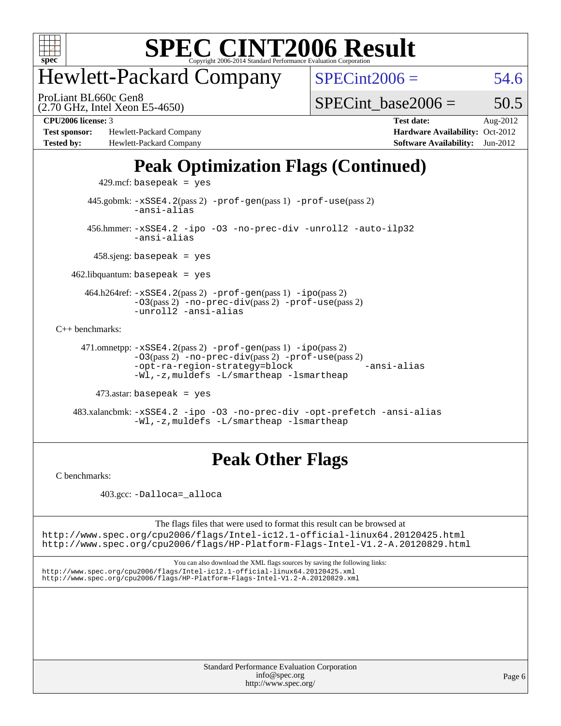

# Hewlett-Packard Company

ProLiant BL660c Gen8

 $SPECint2006 = 54.6$  $SPECint2006 = 54.6$ 

(2.70 GHz, Intel Xeon E5-4650)

SPECint base2006 =  $50.5$ 

**[Test sponsor:](http://www.spec.org/auto/cpu2006/Docs/result-fields.html#Testsponsor)** Hewlett-Packard Company **[Hardware Availability:](http://www.spec.org/auto/cpu2006/Docs/result-fields.html#HardwareAvailability)** Oct-2012 **[Tested by:](http://www.spec.org/auto/cpu2006/Docs/result-fields.html#Testedby)** Hewlett-Packard Company **[Software Availability:](http://www.spec.org/auto/cpu2006/Docs/result-fields.html#SoftwareAvailability)** Jun-2012

**[CPU2006 license:](http://www.spec.org/auto/cpu2006/Docs/result-fields.html#CPU2006license)** 3 **[Test date:](http://www.spec.org/auto/cpu2006/Docs/result-fields.html#Testdate)** Aug-2012

## **[Peak Optimization Flags \(Continued\)](http://www.spec.org/auto/cpu2006/Docs/result-fields.html#PeakOptimizationFlags)**

 $429$ .mcf: basepeak = yes 445.gobmk: [-xSSE4.2](http://www.spec.org/cpu2006/results/res2012q3/cpu2006-20120828-24362.flags.html#user_peakPASS2_CFLAGSPASS2_LDCFLAGS445_gobmk_f-xSSE42_f91528193cf0b216347adb8b939d4107)(pass 2) [-prof-gen](http://www.spec.org/cpu2006/results/res2012q3/cpu2006-20120828-24362.flags.html#user_peakPASS1_CFLAGSPASS1_LDCFLAGS445_gobmk_prof_gen_e43856698f6ca7b7e442dfd80e94a8fc)(pass 1) [-prof-use](http://www.spec.org/cpu2006/results/res2012q3/cpu2006-20120828-24362.flags.html#user_peakPASS2_CFLAGSPASS2_LDCFLAGS445_gobmk_prof_use_bccf7792157ff70d64e32fe3e1250b55)(pass 2) [-ansi-alias](http://www.spec.org/cpu2006/results/res2012q3/cpu2006-20120828-24362.flags.html#user_peakCOPTIMIZE445_gobmk_f-ansi-alias) 456.hmmer: [-xSSE4.2](http://www.spec.org/cpu2006/results/res2012q3/cpu2006-20120828-24362.flags.html#user_peakCOPTIMIZE456_hmmer_f-xSSE42_f91528193cf0b216347adb8b939d4107) [-ipo](http://www.spec.org/cpu2006/results/res2012q3/cpu2006-20120828-24362.flags.html#user_peakCOPTIMIZE456_hmmer_f-ipo) [-O3](http://www.spec.org/cpu2006/results/res2012q3/cpu2006-20120828-24362.flags.html#user_peakCOPTIMIZE456_hmmer_f-O3) [-no-prec-div](http://www.spec.org/cpu2006/results/res2012q3/cpu2006-20120828-24362.flags.html#user_peakCOPTIMIZE456_hmmer_f-no-prec-div) [-unroll2](http://www.spec.org/cpu2006/results/res2012q3/cpu2006-20120828-24362.flags.html#user_peakCOPTIMIZE456_hmmer_f-unroll_784dae83bebfb236979b41d2422d7ec2) [-auto-ilp32](http://www.spec.org/cpu2006/results/res2012q3/cpu2006-20120828-24362.flags.html#user_peakCOPTIMIZE456_hmmer_f-auto-ilp32) [-ansi-alias](http://www.spec.org/cpu2006/results/res2012q3/cpu2006-20120828-24362.flags.html#user_peakCOPTIMIZE456_hmmer_f-ansi-alias) 458.sjeng: basepeak = yes  $462$ .libquantum: basepeak = yes 464.h264ref: [-xSSE4.2](http://www.spec.org/cpu2006/results/res2012q3/cpu2006-20120828-24362.flags.html#user_peakPASS2_CFLAGSPASS2_LDCFLAGS464_h264ref_f-xSSE42_f91528193cf0b216347adb8b939d4107)(pass 2) [-prof-gen](http://www.spec.org/cpu2006/results/res2012q3/cpu2006-20120828-24362.flags.html#user_peakPASS1_CFLAGSPASS1_LDCFLAGS464_h264ref_prof_gen_e43856698f6ca7b7e442dfd80e94a8fc)(pass 1) [-ipo](http://www.spec.org/cpu2006/results/res2012q3/cpu2006-20120828-24362.flags.html#user_peakPASS2_CFLAGSPASS2_LDCFLAGS464_h264ref_f-ipo)(pass 2) [-O3](http://www.spec.org/cpu2006/results/res2012q3/cpu2006-20120828-24362.flags.html#user_peakPASS2_CFLAGSPASS2_LDCFLAGS464_h264ref_f-O3)(pass 2) [-no-prec-div](http://www.spec.org/cpu2006/results/res2012q3/cpu2006-20120828-24362.flags.html#user_peakPASS2_CFLAGSPASS2_LDCFLAGS464_h264ref_f-no-prec-div)(pass 2) [-prof-use](http://www.spec.org/cpu2006/results/res2012q3/cpu2006-20120828-24362.flags.html#user_peakPASS2_CFLAGSPASS2_LDCFLAGS464_h264ref_prof_use_bccf7792157ff70d64e32fe3e1250b55)(pass 2) [-unroll2](http://www.spec.org/cpu2006/results/res2012q3/cpu2006-20120828-24362.flags.html#user_peakCOPTIMIZE464_h264ref_f-unroll_784dae83bebfb236979b41d2422d7ec2) [-ansi-alias](http://www.spec.org/cpu2006/results/res2012q3/cpu2006-20120828-24362.flags.html#user_peakCOPTIMIZE464_h264ref_f-ansi-alias) [C++ benchmarks:](http://www.spec.org/auto/cpu2006/Docs/result-fields.html#CXXbenchmarks) 471.omnetpp: [-xSSE4.2](http://www.spec.org/cpu2006/results/res2012q3/cpu2006-20120828-24362.flags.html#user_peakPASS2_CXXFLAGSPASS2_LDCXXFLAGS471_omnetpp_f-xSSE42_f91528193cf0b216347adb8b939d4107)(pass 2) [-prof-gen](http://www.spec.org/cpu2006/results/res2012q3/cpu2006-20120828-24362.flags.html#user_peakPASS1_CXXFLAGSPASS1_LDCXXFLAGS471_omnetpp_prof_gen_e43856698f6ca7b7e442dfd80e94a8fc)(pass 1) [-ipo](http://www.spec.org/cpu2006/results/res2012q3/cpu2006-20120828-24362.flags.html#user_peakPASS2_CXXFLAGSPASS2_LDCXXFLAGS471_omnetpp_f-ipo)(pass 2)  $-03$ (pass 2)  $-$ no-prec-div(pass 2)  $-$ prof-use(pass 2) [-opt-ra-region-strategy=block](http://www.spec.org/cpu2006/results/res2012q3/cpu2006-20120828-24362.flags.html#user_peakCXXOPTIMIZE471_omnetpp_f-opt-ra-region-strategy_5382940c29ea30302d682fc74bfe0147) [-ansi-alias](http://www.spec.org/cpu2006/results/res2012q3/cpu2006-20120828-24362.flags.html#user_peakCXXOPTIMIZE471_omnetpp_f-ansi-alias) [-Wl,-z,muldefs](http://www.spec.org/cpu2006/results/res2012q3/cpu2006-20120828-24362.flags.html#user_peakEXTRA_LDFLAGS471_omnetpp_link_force_multiple1_74079c344b956b9658436fd1b6dd3a8a) [-L/smartheap -lsmartheap](http://www.spec.org/cpu2006/results/res2012q3/cpu2006-20120828-24362.flags.html#user_peakEXTRA_LIBS471_omnetpp_SmartHeap_7c9e394a5779e1a7fec7c221e123830c) 473.astar: basepeak = yes

 483.xalancbmk: [-xSSE4.2](http://www.spec.org/cpu2006/results/res2012q3/cpu2006-20120828-24362.flags.html#user_peakCXXOPTIMIZE483_xalancbmk_f-xSSE42_f91528193cf0b216347adb8b939d4107) [-ipo](http://www.spec.org/cpu2006/results/res2012q3/cpu2006-20120828-24362.flags.html#user_peakCXXOPTIMIZE483_xalancbmk_f-ipo) [-O3](http://www.spec.org/cpu2006/results/res2012q3/cpu2006-20120828-24362.flags.html#user_peakCXXOPTIMIZE483_xalancbmk_f-O3) [-no-prec-div](http://www.spec.org/cpu2006/results/res2012q3/cpu2006-20120828-24362.flags.html#user_peakCXXOPTIMIZE483_xalancbmk_f-no-prec-div) [-opt-prefetch](http://www.spec.org/cpu2006/results/res2012q3/cpu2006-20120828-24362.flags.html#user_peakCXXOPTIMIZE483_xalancbmk_f-opt-prefetch) [-ansi-alias](http://www.spec.org/cpu2006/results/res2012q3/cpu2006-20120828-24362.flags.html#user_peakCXXOPTIMIZE483_xalancbmk_f-ansi-alias) [-Wl,-z,muldefs](http://www.spec.org/cpu2006/results/res2012q3/cpu2006-20120828-24362.flags.html#user_peakEXTRA_LDFLAGS483_xalancbmk_link_force_multiple1_74079c344b956b9658436fd1b6dd3a8a) [-L/smartheap -lsmartheap](http://www.spec.org/cpu2006/results/res2012q3/cpu2006-20120828-24362.flags.html#user_peakEXTRA_LIBS483_xalancbmk_SmartHeap_7c9e394a5779e1a7fec7c221e123830c)

## **[Peak Other Flags](http://www.spec.org/auto/cpu2006/Docs/result-fields.html#PeakOtherFlags)**

[C benchmarks](http://www.spec.org/auto/cpu2006/Docs/result-fields.html#Cbenchmarks):

403.gcc: [-Dalloca=\\_alloca](http://www.spec.org/cpu2006/results/res2012q3/cpu2006-20120828-24362.flags.html#b403.gcc_peakEXTRA_CFLAGS_Dalloca_be3056838c12de2578596ca5467af7f3)

The flags files that were used to format this result can be browsed at <http://www.spec.org/cpu2006/flags/Intel-ic12.1-official-linux64.20120425.html>

<http://www.spec.org/cpu2006/flags/HP-Platform-Flags-Intel-V1.2-A.20120829.html>

You can also download the XML flags sources by saving the following links: <http://www.spec.org/cpu2006/flags/Intel-ic12.1-official-linux64.20120425.xml> <http://www.spec.org/cpu2006/flags/HP-Platform-Flags-Intel-V1.2-A.20120829.xml>